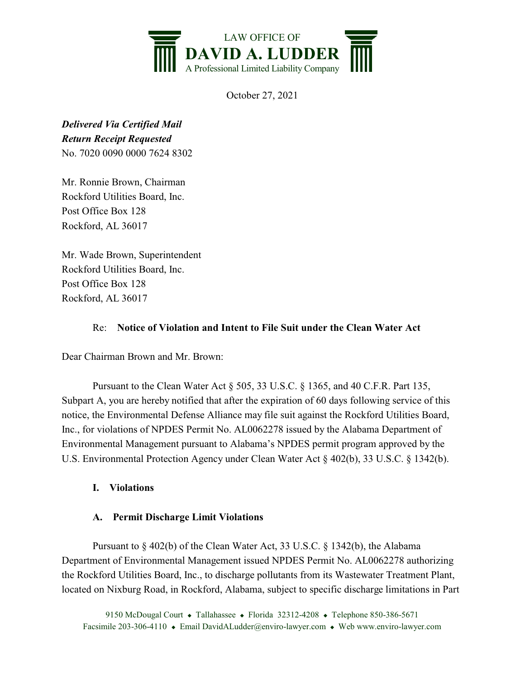

October 27, 2021

*Delivered Via Certified Mail Return Receipt Requested* No. 7020 0090 0000 7624 8302

Mr. Ronnie Brown, Chairman Rockford Utilities Board, Inc. Post Office Box 128 Rockford, AL 36017

Mr. Wade Brown, Superintendent Rockford Utilities Board, Inc. Post Office Box 128 Rockford, AL 36017

## Re: **Notice of Violation and Intent to File Suit under the Clean Water Act**

Dear Chairman Brown and Mr. Brown:

Pursuant to the Clean Water Act § 505, 33 U.S.C. § 1365, and 40 C.F.R. Part 135, Subpart A, you are hereby notified that after the expiration of 60 days following service of this notice, the Environmental Defense Alliance may file suit against the Rockford Utilities Board, Inc., for violations of NPDES Permit No. AL0062278 issued by the Alabama Department of Environmental Management pursuant to Alabama's NPDES permit program approved by the U.S. Environmental Protection Agency under Clean Water Act § 402(b), 33 U.S.C. § 1342(b).

## **I. Violations**

## **A. Permit Discharge Limit Violations**

Pursuant to § 402(b) of the Clean Water Act, 33 U.S.C. § 1342(b), the Alabama Department of Environmental Management issued NPDES Permit No. AL0062278 authorizing the Rockford Utilities Board, Inc., to discharge pollutants from its Wastewater Treatment Plant, located on Nixburg Road, in Rockford, Alabama, subject to specific discharge limitations in Part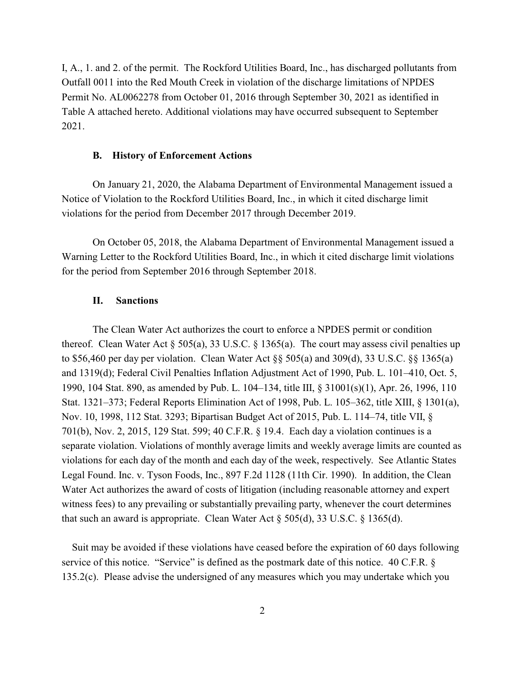I, A., 1. and 2. of the permit. The Rockford Utilities Board, Inc., has discharged pollutants from Outfall 0011 into the Red Mouth Creek in violation of the discharge limitations of NPDES Permit No. AL0062278 from October 01, 2016 through September 30, 2021 as identified in Table A attached hereto. Additional violations may have occurred subsequent to September 2021.

#### **B. History of Enforcement Actions**

On January 21, 2020, the Alabama Department of Environmental Management issued a Notice of Violation to the Rockford Utilities Board, Inc., in which it cited discharge limit violations for the period from December 2017 through December 2019.

On October 05, 2018, the Alabama Department of Environmental Management issued a Warning Letter to the Rockford Utilities Board, Inc., in which it cited discharge limit violations for the period from September 2016 through September 2018.

#### **II. Sanctions**

The Clean Water Act authorizes the court to enforce a NPDES permit or condition thereof. Clean Water Act  $\S 505(a)$ , 33 U.S.C.  $\S 1365(a)$ . The court may assess civil penalties up to \$56,460 per day per violation. Clean Water Act §§ 505(a) and 309(d), 33 U.S.C. §§ 1365(a) and 1319(d); Federal Civil Penalties Inflation Adjustment Act of 1990, Pub. L. 101–410, Oct. 5, 1990, 104 Stat. 890, as amended by Pub. L. 104–134, title III, § 31001(s)(1), Apr. 26, 1996, 110 Stat. 1321–373; Federal Reports Elimination Act of 1998, Pub. L. 105–362, title XIII, § 1301(a), Nov. 10, 1998, 112 Stat. 3293; Bipartisan Budget Act of 2015, Pub. L. 114–74, title VII, § 701(b), Nov. 2, 2015, 129 Stat. 599; 40 C.F.R. § 19.4. Each day a violation continues is a separate violation. Violations of monthly average limits and weekly average limits are counted as violations for each day of the month and each day of the week, respectively. See Atlantic States Legal Found. Inc. v. Tyson Foods, Inc., 897 F.2d 1128 (11th Cir. 1990). In addition, the Clean Water Act authorizes the award of costs of litigation (including reasonable attorney and expert witness fees) to any prevailing or substantially prevailing party, whenever the court determines that such an award is appropriate. Clean Water Act § 505(d), 33 U.S.C. § 1365(d).

 Suit may be avoided if these violations have ceased before the expiration of 60 days following service of this notice. "Service" is defined as the postmark date of this notice. 40 C.F.R. § 135.2(c). Please advise the undersigned of any measures which you may undertake which you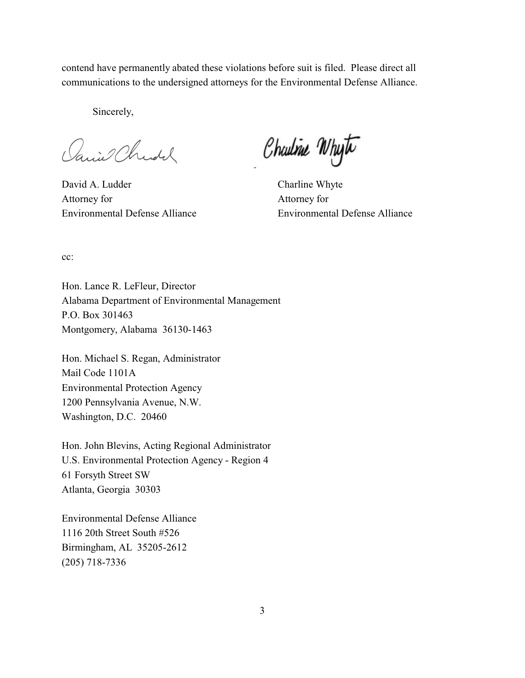contend have permanently abated these violations before suit is filed. Please direct all communications to the undersigned attorneys for the Environmental Defense Alliance.

Sincerely,

Janiel Christ

David A. Ludder Charline Whyte Attorney for Attorney for Environmental Defense Alliance Environmental Defense Alliance

Charline Whyte

cc:

Hon. Lance R. LeFleur, Director Alabama Department of Environmental Management P.O. Box 301463 Montgomery, Alabama 36130-1463

Hon. Michael S. Regan, Administrator Mail Code 1101A Environmental Protection Agency 1200 Pennsylvania Avenue, N.W. Washington, D.C. 20460

Hon. John Blevins, Acting Regional Administrator U.S. Environmental Protection Agency - Region 4 61 Forsyth Street SW Atlanta, Georgia 30303

Environmental Defense Alliance 1116 20th Street South #526 Birmingham, AL 35205-2612 (205) 718-7336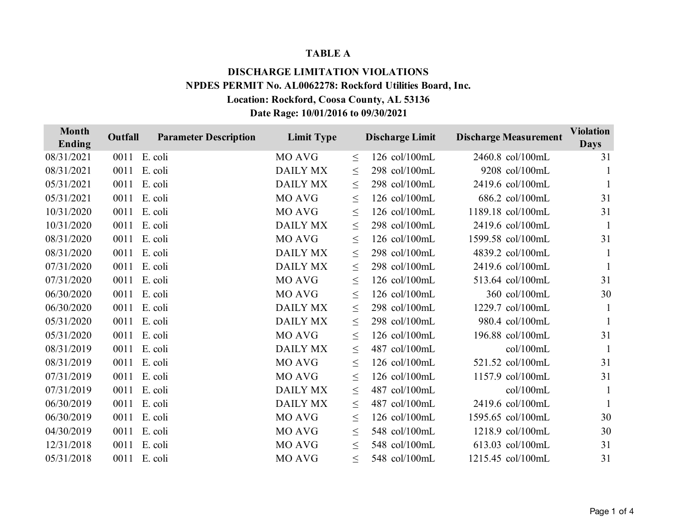### **TABLE A**

# **DISCHARGE LIMITATION VIOLATIONS NPDES PERMIT No. AL0062278: Rockford Utilities Board, Inc. Location: Rockford, Coosa County, AL 53136 Date Rage: 10/01/2016 to 09/30/2021**

| <b>Month</b><br>Ending | Outfall | <b>Parameter Description</b> | <b>Limit Type</b> |        | <b>Discharge Limit</b> | <b>Discharge Measurement</b> | <b>Violation</b><br><b>Days</b> |
|------------------------|---------|------------------------------|-------------------|--------|------------------------|------------------------------|---------------------------------|
| 08/31/2021             | 0011    | E. coli                      | <b>MO AVG</b>     | $\leq$ | 126 col/100mL          | 2460.8 col/100mL             | 31                              |
| 08/31/2021             | 0011    | E. coli                      | <b>DAILY MX</b>   | $\leq$ | 298 col/100mL          | 9208 col/100mL               |                                 |
| 05/31/2021             | 0011    | E. coli                      | <b>DAILY MX</b>   | $\leq$ | 298 col/100mL          | 2419.6 col/100mL             | -1                              |
| 05/31/2021             | 0011    | E. coli                      | <b>MO AVG</b>     | $\leq$ | 126 col/100mL          | 686.2 col/100mL              | 31                              |
| 10/31/2020             | 0011    | E. coli                      | MO AVG            | $\leq$ | 126 col/100mL          | 1189.18 col/100mL            | 31                              |
| 10/31/2020             | 0011    | E. coli                      | <b>DAILY MX</b>   | $\leq$ | 298 col/100mL          | 2419.6 col/100mL             | 1                               |
| 08/31/2020             | 0011    | E. coli                      | MO AVG            | $\leq$ | 126 col/100mL          | 1599.58 col/100mL            | 31                              |
| 08/31/2020             | 0011    | E. coli                      | <b>DAILY MX</b>   | $\leq$ | 298 col/100mL          | 4839.2 col/100mL             |                                 |
| 07/31/2020             | 0011    | E. coli                      | <b>DAILY MX</b>   | $\leq$ | 298 col/100mL          | 2419.6 col/100mL             |                                 |
| 07/31/2020             | 0011    | E. coli                      | <b>MO AVG</b>     | $\leq$ | 126 col/100mL          | 513.64 col/100mL             | 31                              |
| 06/30/2020             | 0011    | E. coli                      | <b>MO AVG</b>     | $\leq$ | 126 col/100mL          | 360 col/100mL                | 30                              |
| 06/30/2020             | 0011    | E. coli                      | <b>DAILY MX</b>   | $\leq$ | 298 col/100mL          | 1229.7 col/100mL             |                                 |
| 05/31/2020             | 0011    | E. coli                      | <b>DAILY MX</b>   | $\leq$ | 298 col/100mL          | 980.4 col/100mL              |                                 |
| 05/31/2020             | 0011    | E. coli                      | MO AVG            | $\leq$ | 126 col/100mL          | 196.88 col/100mL             | 31                              |
| 08/31/2019             | 0011    | E. coli                      | <b>DAILY MX</b>   | $\leq$ | 487 col/100mL          | col/100mL                    | $\mathbf{1}$                    |
| 08/31/2019             | 0011    | E. coli                      | <b>MO AVG</b>     | $\leq$ | 126 col/100mL          | 521.52 col/100mL             | 31                              |
| 07/31/2019             | 0011    | E. coli                      | <b>MO AVG</b>     | $\leq$ | 126 col/100mL          | 1157.9 col/100mL             | 31                              |
| 07/31/2019             | 0011    | E. coli                      | <b>DAILY MX</b>   | $\leq$ | 487 col/100mL          | col/100mL                    |                                 |
| 06/30/2019             | 0011    | E. coli                      | <b>DAILY MX</b>   | $\leq$ | 487 col/100mL          | 2419.6 col/100mL             |                                 |
| 06/30/2019             | 0011    | E. coli                      | <b>MO AVG</b>     | $\leq$ | 126 col/100mL          | 1595.65 col/100mL            | 30                              |
| 04/30/2019             | 0011    | E. coli                      | MO AVG            | $\leq$ | 548 col/100mL          | 1218.9 col/100mL             | 30                              |
| 12/31/2018             | 0011    | E. coli                      | MO AVG            | $\leq$ | 548 col/100mL          | 613.03 col/100mL             | 31                              |
| 05/31/2018             |         | 0011 E. coli                 | MO AVG            | $\leq$ | 548 col/100mL          | 1215.45 col/100mL            | 31                              |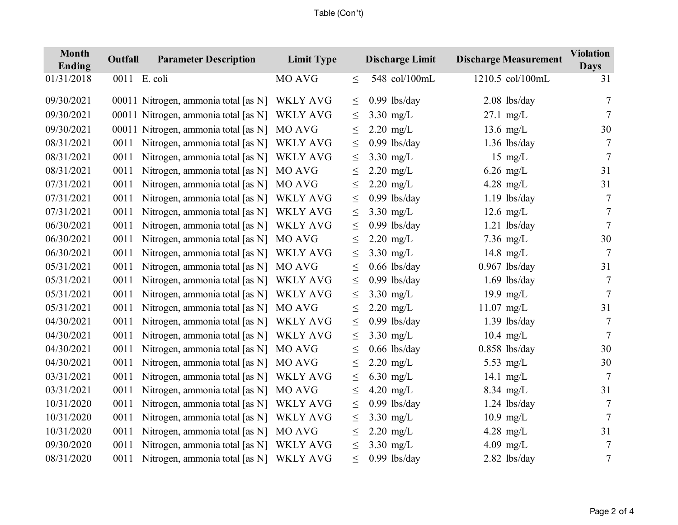## Table (Con't)

| <b>Month</b><br>Ending | Outfall | <b>Parameter Description</b>         | <b>Limit Type</b> |        | <b>Discharge Limit</b> | <b>Discharge Measurement</b> | <b>Violation</b><br><b>Days</b> |
|------------------------|---------|--------------------------------------|-------------------|--------|------------------------|------------------------------|---------------------------------|
| 01/31/2018             |         | 0011 E. coli                         | MO AVG            | $\leq$ | 548 col/100mL          | 1210.5 col/100mL             | 31                              |
| 09/30/2021             |         | 00011 Nitrogen, ammonia total [as N] | <b>WKLY AVG</b>   | $\leq$ | $0.99$ lbs/day         | $2.08$ lbs/day               | 7                               |
| 09/30/2021             |         | 00011 Nitrogen, ammonia total [as N] | <b>WKLY AVG</b>   | $\leq$ | $3.30$ mg/L            | $27.1$ mg/L                  | 7                               |
| 09/30/2021             | 00011   | Nitrogen, ammonia total [as N]       | MO AVG            | $\leq$ | $2.20$ mg/L            | $13.6$ mg/L                  | 30                              |
| 08/31/2021             | 0011    | Nitrogen, ammonia total [as N]       | WKLY AVG          | $\leq$ | $0.99$ lbs/day         | $1.36$ lbs/day               | 7                               |
| 08/31/2021             | 0011    | Nitrogen, ammonia total [as N]       | <b>WKLY AVG</b>   | $\leq$ | $3.30$ mg/L            | $15 \text{ mg/L}$            | 7                               |
| 08/31/2021             | 0011    | Nitrogen, ammonia total [as N]       | MO AVG            | $\leq$ | $2.20$ mg/L            | $6.26$ mg/L                  | 31                              |
| 07/31/2021             | 0011    | Nitrogen, ammonia total [as N]       | MO AVG            | $\leq$ | $2.20$ mg/L            | 4.28 mg/L                    | 31                              |
| 07/31/2021             | 0011    | Nitrogen, ammonia total [as N]       | <b>WKLY AVG</b>   | $\leq$ | $0.99$ lbs/day         | $1.19$ lbs/day               | 7                               |
| 07/31/2021             | 0011    | Nitrogen, ammonia total [as N]       | <b>WKLY AVG</b>   | $\leq$ | $3.30$ mg/L            | $12.6$ mg/L                  | $\tau$                          |
| 06/30/2021             | 0011    | Nitrogen, ammonia total [as N]       | <b>WKLY AVG</b>   | $\leq$ | $0.99$ lbs/day         | $1.21$ lbs/day               | 7                               |
| 06/30/2021             | 0011    | Nitrogen, ammonia total [as N]       | MO AVG            | $\leq$ | $2.20$ mg/L            | $7.36$ mg/L                  | 30                              |
| 06/30/2021             | 0011    | Nitrogen, ammonia total [as N]       | <b>WKLY AVG</b>   | $\leq$ | $3.30$ mg/L            | 14.8 $mg/L$                  | 7                               |
| 05/31/2021             | 0011    | Nitrogen, ammonia total [as N]       | MO AVG            | $\leq$ | $0.66$ lbs/day         | $0.967$ lbs/day              | 31                              |
| 05/31/2021             | 0011    | Nitrogen, ammonia total [as N]       | <b>WKLY AVG</b>   | $\leq$ | $0.99$ lbs/day         | $1.69$ lbs/day               | 7                               |
| 05/31/2021             | 0011    | Nitrogen, ammonia total [as N]       | <b>WKLY AVG</b>   | $\leq$ | $3.30$ mg/L            | 19.9 mg/L                    | $\overline{7}$                  |
| 05/31/2021             | 0011    | Nitrogen, ammonia total [as N]       | MO AVG            | $\leq$ | $2.20$ mg/L            | $11.07$ mg/L                 | 31                              |
| 04/30/2021             | 0011    | Nitrogen, ammonia total [as N]       | <b>WKLY AVG</b>   | $\leq$ | $0.99$ lbs/day         | $1.39$ lbs/day               | 7                               |
| 04/30/2021             | 0011    | Nitrogen, ammonia total [as N]       | <b>WKLY AVG</b>   | $\leq$ | $3.30$ mg/L            | $10.4$ mg/L                  | $\tau$                          |
| 04/30/2021             | 0011    | Nitrogen, ammonia total [as N]       | MO AVG            | $\leq$ | $0.66$ lbs/day         | $0.858$ lbs/day              | 30                              |
| 04/30/2021             | 0011    | Nitrogen, ammonia total [as N]       | MO AVG            | $\leq$ | $2.20$ mg/L            | 5.53 $mg/L$                  | 30                              |
| 03/31/2021             | 0011    | Nitrogen, ammonia total [as N]       | <b>WKLY AVG</b>   | $\leq$ | $6.30$ mg/L            | 14.1 $mg/L$                  | $\tau$                          |
| 03/31/2021             | 0011    | Nitrogen, ammonia total [as N]       | MO AVG            | $\leq$ | $4.20$ mg/L            | $8.34$ mg/L                  | 31                              |
| 10/31/2020             | 0011    | Nitrogen, ammonia total [as N]       | <b>WKLY AVG</b>   | $\leq$ | $0.99$ lbs/day         | $1.24$ lbs/day               | 7                               |
| 10/31/2020             | 0011    | Nitrogen, ammonia total [as N]       | <b>WKLY AVG</b>   | $\leq$ | $3.30$ mg/L            | $10.9$ mg/L                  | $7\phantom{.0}$                 |
| 10/31/2020             | 0011    | Nitrogen, ammonia total [as N]       | MO AVG            | $\leq$ | $2.20$ mg/L            | 4.28 mg/L                    | 31                              |
| 09/30/2020             | 0011    | Nitrogen, ammonia total [as N]       | <b>WKLY AVG</b>   | $\leq$ | $3.30$ mg/L            | $4.09$ mg/L                  | 7                               |
| 08/31/2020             | 0011    | Nitrogen, ammonia total [as N]       | <b>WKLY AVG</b>   | $\leq$ | $0.99$ lbs/day         | 2.82 lbs/day                 | $\tau$                          |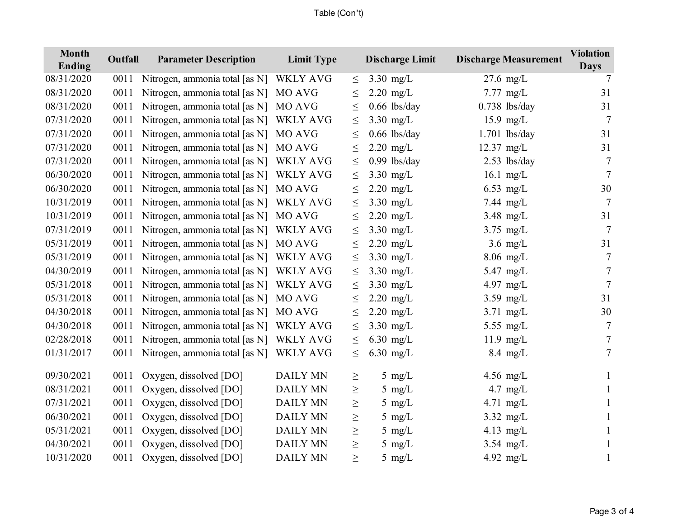## Table (Con't)

| <b>Month</b><br>Ending | Outfall | <b>Parameter Description</b>   | <b>Limit Type</b> |        | <b>Discharge Limit</b> | <b>Discharge Measurement</b> | <b>Violation</b><br><b>Days</b> |
|------------------------|---------|--------------------------------|-------------------|--------|------------------------|------------------------------|---------------------------------|
| 08/31/2020             | 0011    | Nitrogen, ammonia total [as N] | <b>WKLY AVG</b>   | $\leq$ | $3.30$ mg/L            | $27.6$ mg/L                  | 7                               |
| 08/31/2020             | 0011    | Nitrogen, ammonia total [as N] | MO AVG            | $\leq$ | $2.20$ mg/L            | $7.77$ mg/L                  | 31                              |
| 08/31/2020             | 0011    | Nitrogen, ammonia total [as N] | MO AVG            | $\leq$ | $0.66$ lbs/day         | $0.738$ lbs/day              | 31                              |
| 07/31/2020             | 0011    | Nitrogen, ammonia total [as N] | <b>WKLY AVG</b>   | $\leq$ | $3.30$ mg/L            | $15.9$ mg/L                  | $\tau$                          |
| 07/31/2020             | 0011    | Nitrogen, ammonia total [as N] | MO AVG            | $\leq$ | $0.66$ lbs/day         | $1.701$ lbs/day              | 31                              |
| 07/31/2020             | 0011    | Nitrogen, ammonia total [as N] | MO AVG            | $\leq$ | $2.20$ mg/L            | $12.37$ mg/L                 | 31                              |
| 07/31/2020             | 0011    | Nitrogen, ammonia total [as N] | <b>WKLY AVG</b>   | $\leq$ | $0.99$ lbs/day         | $2.53$ lbs/day               | 7                               |
| 06/30/2020             | 0011    | Nitrogen, ammonia total [as N] | <b>WKLY AVG</b>   | $\leq$ | $3.30$ mg/L            | $16.1$ mg/L                  | 7                               |
| 06/30/2020             | 0011    | Nitrogen, ammonia total [as N] | MO AVG            | $\leq$ | $2.20$ mg/L            | $6.53$ mg/L                  | 30                              |
| 10/31/2019             | 0011    | Nitrogen, ammonia total [as N] | WKLY AVG          | $\leq$ | $3.30$ mg/L            | $7.44$ mg/L                  | 7                               |
| 10/31/2019             | 0011    | Nitrogen, ammonia total [as N] | MO AVG            | $\leq$ | $2.20$ mg/L            | $3.48$ mg/L                  | 31                              |
| 07/31/2019             | 0011    | Nitrogen, ammonia total [as N] | <b>WKLY AVG</b>   | $\leq$ | $3.30$ mg/L            | $3.75$ mg/L                  | 7                               |
| 05/31/2019             | 0011    | Nitrogen, ammonia total [as N] | MO AVG            | $\leq$ | $2.20$ mg/L            | $3.6$ mg/L                   | 31                              |
| 05/31/2019             | 0011    | Nitrogen, ammonia total [as N] | <b>WKLY AVG</b>   | $\leq$ | $3.30$ mg/L            | $8.06$ mg/L                  | 7                               |
| 04/30/2019             | 0011    | Nitrogen, ammonia total [as N] | <b>WKLY AVG</b>   | $\leq$ | $3.30$ mg/L            | 5.47 mg/L                    | 7                               |
| 05/31/2018             | 0011    | Nitrogen, ammonia total [as N] | <b>WKLY AVG</b>   | $\leq$ | $3.30$ mg/L            | 4.97 $mg/L$                  | 7                               |
| 05/31/2018             | 0011    | Nitrogen, ammonia total [as N] | MO AVG            | $\leq$ | $2.20$ mg/L            | $3.59$ mg/L                  | 31                              |
| 04/30/2018             | 0011    | Nitrogen, ammonia total [as N] | MO AVG            | $\leq$ | $2.20$ mg/L            | $3.71$ mg/L                  | 30                              |
| 04/30/2018             | 0011    | Nitrogen, ammonia total [as N] | WKLY AVG          | $\leq$ | $3.30$ mg/L            | 5.55 mg/ $L$                 | 7                               |
| 02/28/2018             | 0011    | Nitrogen, ammonia total [as N] | <b>WKLY AVG</b>   | $\leq$ | $6.30$ mg/L            | $11.9$ mg/L                  | 7                               |
| 01/31/2017             | 0011    | Nitrogen, ammonia total [as N] | <b>WKLY AVG</b>   | $\leq$ | $6.30$ mg/L            | $8.4$ mg/L                   | 7                               |
| 09/30/2021             | 0011    | Oxygen, dissolved [DO]         | <b>DAILY MN</b>   | $\geq$ | 5 mg/ $L$              | $4.56$ mg/L                  |                                 |
| 08/31/2021             | 0011    | Oxygen, dissolved [DO]         | <b>DAILY MN</b>   | $\geq$ | $5 \text{ mg/L}$       | 4.7 $mg/L$                   |                                 |
| 07/31/2021             | 0011    | Oxygen, dissolved [DO]         | <b>DAILY MN</b>   | $\geq$ | $5$ mg/L               | $4.71$ mg/L                  |                                 |
| 06/30/2021             | 0011    | Oxygen, dissolved [DO]         | <b>DAILY MN</b>   | $\geq$ | $5$ mg/L               | $3.32 \text{ mg/L}$          |                                 |
| 05/31/2021             | 0011    | Oxygen, dissolved [DO]         | <b>DAILY MN</b>   | $\geq$ | $5$ mg/L               | 4.13 $mg/L$                  |                                 |
| 04/30/2021             | 0011    | Oxygen, dissolved [DO]         | <b>DAILY MN</b>   | $\geq$ | $5$ mg/L               | $3.54$ mg/L                  |                                 |
| 10/31/2020             | 0011    | Oxygen, dissolved [DO]         | <b>DAILY MN</b>   | $\geq$ | $5$ mg/L               | 4.92 $mg/L$                  |                                 |